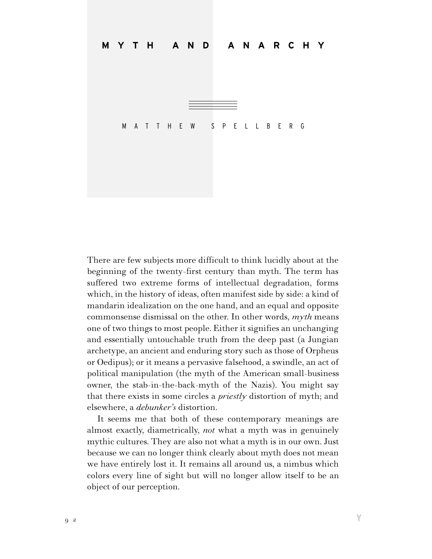

There are few subjects more difficult to think lucidly about at the beginning of the twenty-first century than myth. The term has suffered two extreme forms of intellectual degradation, forms which, in the history of ideas, often manifest side by side: a kind of mandarin idealization on the one hand, and an equal and opposite commonsense dismissal on the other. In other words, *myth* means one of two things to most people. Either it signifies an unchanging and essentially untouchable truth from the deep past (a Jungian archetype, an ancient and enduring story such as those of Orpheus or Oedipus); or it means a pervasive falsehood, a swindle, an act of political manipulation (the myth of the American small-business owner, the stab-in-the-back-myth of the Nazis). You might say that there exists in some circles a *priestly* distortion of myth; and elsewhere, a *debunker's* distortion.

It seems me that both of these contemporary meanings are almost exactly, diametrically, *not* what a myth was in genuinely mythic cultures. They are also not what a myth is in our own. Just because we can no longer think clearly about myth does not mean we have entirely lost it. It remains all around us, a nimbus which colors every line of sight but will no longer allow itself to be an object of our perception.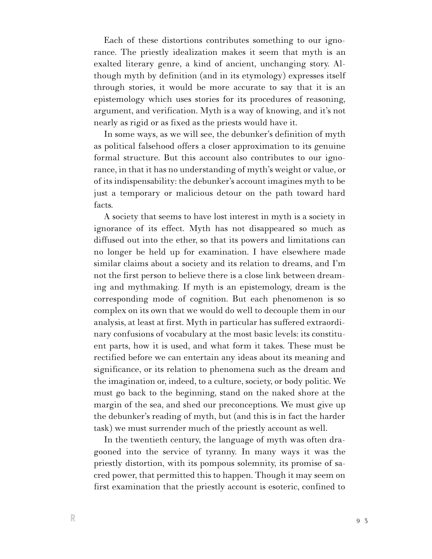Each of these distortions contributes something to our ignorance. The priestly idealization makes it seem that myth is an exalted literary genre, a kind of ancient, unchanging story. Although myth by definition (and in its etymology) expresses itself through stories, it would be more accurate to say that it is an epistemology which uses stories for its procedures of reasoning, argument, and verification. Myth is a way of knowing, and it's not nearly as rigid or as fixed as the priests would have it.

In some ways, as we will see, the debunker's definition of myth as political falsehood offers a closer approximation to its genuine formal structure. But this account also contributes to our ignorance, in that it has no understanding of myth's weight or value, or of its indispensability: the debunker's account imagines myth to be just a temporary or malicious detour on the path toward hard facts.

A society that seems to have lost interest in myth is a society in ignorance of its effect. Myth has not disappeared so much as diffused out into the ether, so that its powers and limitations can no longer be held up for examination. I have elsewhere made similar claims about a society and its relation to dreams, and I'm not the first person to believe there is a close link between dreaming and mythmaking. If myth is an epistemology, dream is the corresponding mode of cognition. But each phenomenon is so complex on its own that we would do well to decouple them in our analysis, at least at first. Myth in particular has suffered extraordinary confusions of vocabulary at the most basic levels: its constituent parts, how it is used, and what form it takes. These must be rectified before we can entertain any ideas about its meaning and significance, or its relation to phenomena such as the dream and the imagination or, indeed, to a culture, society, or body politic. We must go back to the beginning, stand on the naked shore at the margin of the sea, and shed our preconceptions. We must give up the debunker's reading of myth, but (and this is in fact the harder task) we must surrender much of the priestly account as well.

In the twentieth century, the language of myth was often dragooned into the service of tyranny. In many ways it was the priestly distortion, with its pompous solemnity, its promise of sacred power, that permitted this to happen. Though it may seem on first examination that the priestly account is esoteric, confined to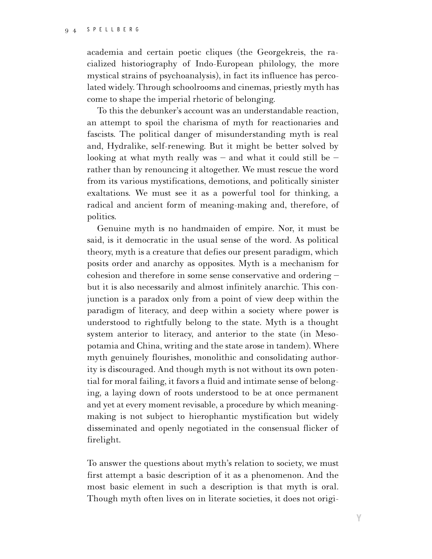academia and certain poetic cliques (the Georgekreis, the racialized historiography of Indo-European philology, the more mystical strains of psychoanalysis), in fact its influence has percolated widely. Through schoolrooms and cinemas, priestly myth has come to shape the imperial rhetoric of belonging.

To this the debunker's account was an understandable reaction, an attempt to spoil the charisma of myth for reactionaries and fascists. The political danger of misunderstanding myth is real and, Hydralike, self-renewing. But it might be better solved by looking at what myth really was – and what it could still be – rather than by renouncing it altogether. We must rescue the word from its various mystifications, demotions, and politically sinister exaltations. We must see it as a powerful tool for thinking, a radical and ancient form of meaning-making and, therefore, of politics.

Genuine myth is no handmaiden of empire. Nor, it must be said, is it democratic in the usual sense of the word. As political theory, myth is a creature that defies our present paradigm, which posits order and anarchy as opposites. Myth is a mechanism for cohesion and therefore in some sense conservative and ordering – but it is also necessarily and almost infinitely anarchic. This conjunction is a paradox only from a point of view deep within the paradigm of literacy, and deep within a society where power is understood to rightfully belong to the state. Myth is a thought system anterior to literacy, and anterior to the state (in Mesopotamia and China, writing and the state arose in tandem). Where myth genuinely flourishes, monolithic and consolidating authority is discouraged. And though myth is not without its own potential for moral failing, it favors a fluid and intimate sense of belonging, a laying down of roots understood to be at once permanent and yet at every moment revisable, a procedure by which meaningmaking is not subject to hierophantic mystification but widely disseminated and openly negotiated in the consensual flicker of firelight.

To answer the questions about myth's relation to society, we must first attempt a basic description of it as a phenomenon. And the most basic element in such a description is that myth is oral. Though myth often lives on in literate societies, it does not origi-

**Y**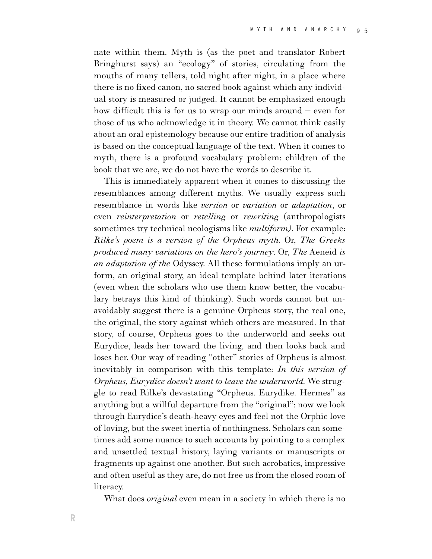nate within them. Myth is (as the poet and translator Robert Bringhurst says) an "ecology" of stories, circulating from the mouths of many tellers, told night after night, in a place where there is no fixed canon, no sacred book against which any individual story is measured or judged. It cannot be emphasized enough how difficult this is for us to wrap our minds around – even for those of us who acknowledge it in theory. We cannot think easily about an oral epistemology because our entire tradition of analysis is based on the conceptual language of the text. When it comes to myth, there is a profound vocabulary problem: children of the book that we are, we do not have the words to describe it.

This is immediately apparent when it comes to discussing the resemblances among different myths. We usually express such resemblance in words like *version* or *variation* or *adaptation,* or even *reinterpretation* or *retelling* or *rewriting* (anthropologists sometimes try technical neologisms like *multiform)*. For example: *Rilke's poem is a version of the Orpheus myth*. Or, *The Greeks produced many variations on the hero's journey*. Or, *The* Aeneid *is an adaptation of the* Odyssey. All these formulations imply an urform, an original story, an ideal template behind later iterations (even when the scholars who use them know better, the vocabulary betrays this kind of thinking). Such words cannot but unavoidably suggest there is a genuine Orpheus story, the real one, the original, the story against which others are measured. In that story, of course, Orpheus goes to the underworld and seeks out Eurydice, leads her toward the living, and then looks back and loses her. Our way of reading ''other'' stories of Orpheus is almost inevitably in comparison with this template: *In this version of Orpheus, Eurydice doesn't want to leave the underworld*. We struggle to read Rilke's devastating ''Orpheus. Eurydike. Hermes'' as anything but a willful departure from the ''original'': now we look through Eurydice's death-heavy eyes and feel not the Orphic love of loving, but the sweet inertia of nothingness. Scholars can sometimes add some nuance to such accounts by pointing to a complex and unsettled textual history, laying variants or manuscripts or fragments up against one another. But such acrobatics, impressive and often useful as they are, do not free us from the closed room of literacy.

What does *original* even mean in a society in which there is no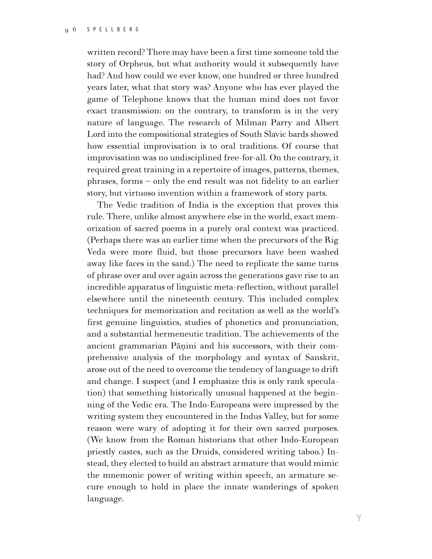written record? There may have been a first time someone told the story of Orpheus, but what authority would it subsequently have had? And how could we ever know, one hundred or three hundred years later, what that story was? Anyone who has ever played the game of Telephone knows that the human mind does not favor exact transmission: on the contrary, to transform is in the very nature of language. The research of Milman Parry and Albert Lord into the compositional strategies of South Slavic bards showed how essential improvisation is to oral traditions. Of course that improvisation was no undisciplined free-for-all. On the contrary, it required great training in a repertoire of images, patterns, themes, phrases, forms – only the end result was not fidelity to an earlier story, but virtuoso invention within a framework of story parts.

The Vedic tradition of India is the exception that proves this rule. There, unlike almost anywhere else in the world, exact memorization of sacred poems in a purely oral context was practiced. (Perhaps there was an earlier time when the precursors of the Rig Veda were more fluid, but those precursors have been washed away like faces in the sand.) The need to replicate the same turns of phrase over and over again across the generations gave rise to an incredible apparatus of linguistic meta-reflection, without parallel elsewhere until the nineteenth century. This included complex techniques for memorization and recitation as well as the world's first genuine linguistics, studies of phonetics and pronunciation, and a substantial hermeneutic tradition. The achievements of the ancient grammarian Pāṇini and his successors, with their comprehensive analysis of the morphology and syntax of Sanskrit, arose out of the need to overcome the tendency of language to drift and change. I suspect (and I emphasize this is only rank speculation) that something historically unusual happened at the beginning of the Vedic era. The Indo-Europeans were impressed by the writing system they encountered in the Indus Valley, but for some reason were wary of adopting it for their own sacred purposes. (We know from the Roman historians that other Indo-European priestly castes, such as the Druids, considered writing taboo.) Instead, they elected to build an abstract armature that would mimic the mnemonic power of writing within speech, an armature secure enough to hold in place the innate wanderings of spoken language.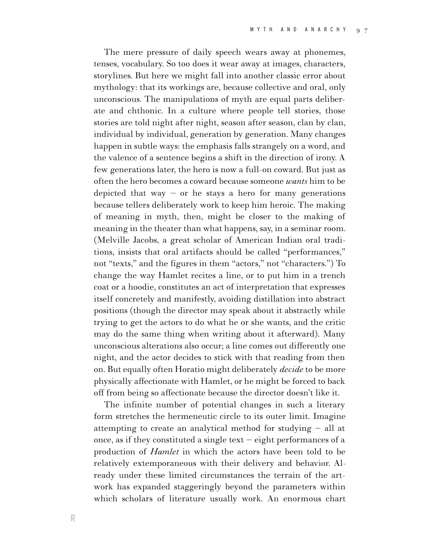The mere pressure of daily speech wears away at phonemes, tenses, vocabulary. So too does it wear away at images, characters, storylines. But here we might fall into another classic error about mythology: that its workings are, because collective and oral, only unconscious. The manipulations of myth are equal parts deliberate and chthonic. In a culture where people tell stories, those stories are told night after night, season after season, clan by clan, individual by individual, generation by generation. Many changes happen in subtle ways: the emphasis falls strangely on a word, and the valence of a sentence begins a shift in the direction of irony. A few generations later, the hero is now a full-on coward. But just as often the hero becomes a coward because someone *wants* him to be depicted that way – or he stays a hero for many generations because tellers deliberately work to keep him heroic. The making of meaning in myth, then, might be closer to the making of meaning in the theater than what happens, say, in a seminar room. (Melville Jacobs, a great scholar of American Indian oral traditions, insists that oral artifacts should be called ''performances,'' not "texts," and the figures in them "actors," not "characters.") To change the way Hamlet recites a line, or to put him in a trench coat or a hoodie, constitutes an act of interpretation that expresses itself concretely and manifestly, avoiding distillation into abstract positions (though the director may speak about it abstractly while trying to get the actors to do what he or she wants, and the critic may do the same thing when writing about it afterward). Many unconscious alterations also occur; a line comes out differently one night, and the actor decides to stick with that reading from then on. But equally often Horatio might deliberately *decide* to be more physically affectionate with Hamlet, or he might be forced to back off from being so affectionate because the director doesn't like it.

The infinite number of potential changes in such a literary form stretches the hermeneutic circle to its outer limit. Imagine attempting to create an analytical method for studying – all at once, as if they constituted a single text  $-$  eight performances of a production of *Hamlet* in which the actors have been told to be relatively extemporaneous with their delivery and behavior. Already under these limited circumstances the terrain of the artwork has expanded staggeringly beyond the parameters within which scholars of literature usually work. An enormous chart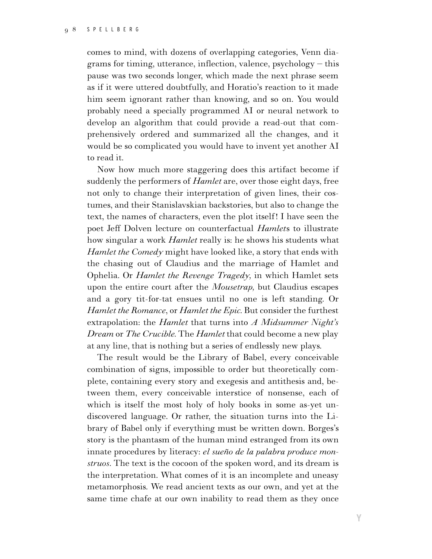comes to mind, with dozens of overlapping categories, Venn diagrams for timing, utterance, inflection, valence, psychology – this pause was two seconds longer, which made the next phrase seem as if it were uttered doubtfully, and Horatio's reaction to it made him seem ignorant rather than knowing, and so on. You would probably need a specially programmed AI or neural network to develop an algorithm that could provide a read-out that comprehensively ordered and summarized all the changes, and it would be so complicated you would have to invent yet another AI to read it.

Now how much more staggering does this artifact become if suddenly the performers of *Hamlet* are, over those eight days, free not only to change their interpretation of given lines, their costumes, and their Stanislavskian backstories, but also to change the text, the names of characters, even the plot itself! I have seen the poet Je√ Dolven lecture on counterfactual *Hamlet*s to illustrate how singular a work *Hamlet* really is: he shows his students what *Hamlet the Comedy* might have looked like, a story that ends with the chasing out of Claudius and the marriage of Hamlet and Ophelia. Or *Hamlet the Revenge Tragedy,* in which Hamlet sets upon the entire court after the *Mousetrap,* but Claudius escapes and a gory tit-for-tat ensues until no one is left standing. Or *Hamlet the Romance*, or *Hamlet the Epic.* But consider the furthest extrapolation: the *Hamlet* that turns into *A Midsummer Night's Dream* or *The Crucible.* The *Hamlet* that could become a new play at any line, that is nothing but a series of endlessly new plays.

The result would be the Library of Babel, every conceivable combination of signs, impossible to order but theoretically complete, containing every story and exegesis and antithesis and, between them, every conceivable interstice of nonsense, each of which is itself the most holy of holy books in some as-yet undiscovered language. Or rather, the situation turns into the Library of Babel only if everything must be written down. Borges's story is the phantasm of the human mind estranged from its own innate procedures by literacy: *el sueño de la palabra produce monstruos*. The text is the cocoon of the spoken word, and its dream is the interpretation. What comes of it is an incomplete and uneasy metamorphosis. We read ancient texts as our own, and yet at the same time chafe at our own inability to read them as they once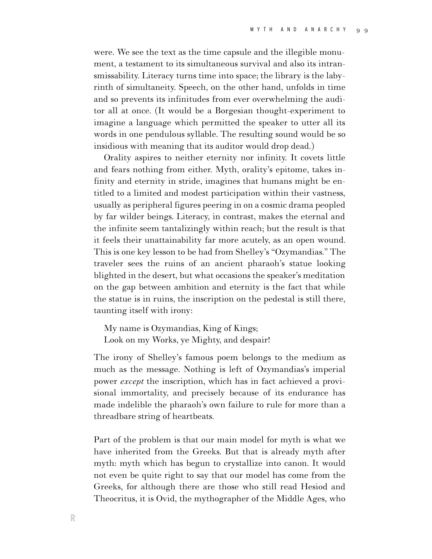were. We see the text as the time capsule and the illegible monument, a testament to its simultaneous survival and also its intransmissability. Literacy turns time into space; the library is the labyrinth of simultaneity. Speech, on the other hand, unfolds in time and so prevents its infinitudes from ever overwhelming the auditor all at once. (It would be a Borgesian thought-experiment to imagine a language which permitted the speaker to utter all its words in one pendulous syllable. The resulting sound would be so insidious with meaning that its auditor would drop dead.)

Orality aspires to neither eternity nor infinity. It covets little and fears nothing from either. Myth, orality's epitome, takes infinity and eternity in stride, imagines that humans might be entitled to a limited and modest participation within their vastness, usually as peripheral figures peering in on a cosmic drama peopled by far wilder beings. Literacy, in contrast, makes the eternal and the infinite seem tantalizingly within reach; but the result is that it feels their unattainability far more acutely, as an open wound. This is one key lesson to be had from Shelley's ''Ozymandias.'' The traveler sees the ruins of an ancient pharaoh's statue looking blighted in the desert, but what occasions the speaker's meditation on the gap between ambition and eternity is the fact that while the statue is in ruins, the inscription on the pedestal is still there, taunting itself with irony:

My name is Ozymandias, King of Kings; Look on my Works, ye Mighty, and despair!

The irony of Shelley's famous poem belongs to the medium as much as the message. Nothing is left of Ozymandias's imperial power *except* the inscription, which has in fact achieved a provisional immortality, and precisely because of its endurance has made indelible the pharaoh's own failure to rule for more than a threadbare string of heartbeats.

Part of the problem is that our main model for myth is what we have inherited from the Greeks. But that is already myth after myth: myth which has begun to crystallize into canon. It would not even be quite right to say that our model has come from the Greeks, for although there are those who still read Hesiod and Theocritus, it is Ovid, the mythographer of the Middle Ages, who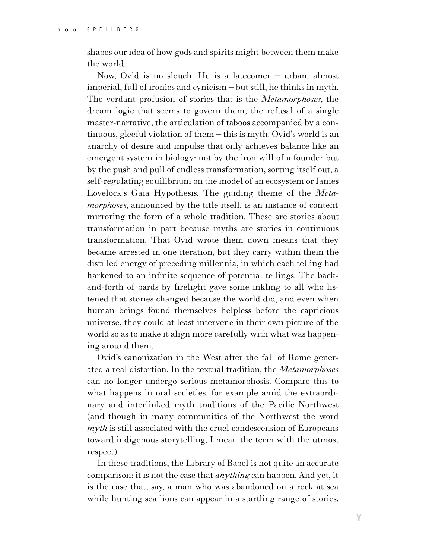shapes our idea of how gods and spirits might between them make the world.

Now, Ovid is no slouch. He is a latecomer – urban, almost imperial, full of ironies and cynicism – but still, he thinks in myth. The verdant profusion of stories that is the *Metamorphoses,* the dream logic that seems to govern them, the refusal of a single master-narrative, the articulation of taboos accompanied by a continuous, gleeful violation of them – this is myth. Ovid's world is an anarchy of desire and impulse that only achieves balance like an emergent system in biology: not by the iron will of a founder but by the push and pull of endless transformation, sorting itself out, a self-regulating equilibrium on the model of an ecosystem or James Lovelock's Gaia Hypothesis. The guiding theme of the *Metamorphoses,* announced by the title itself, is an instance of content mirroring the form of a whole tradition. These are stories about transformation in part because myths are stories in continuous transformation. That Ovid wrote them down means that they became arrested in one iteration, but they carry within them the distilled energy of preceding millennia, in which each telling had harkened to an infinite sequence of potential tellings. The backand-forth of bards by firelight gave some inkling to all who listened that stories changed because the world did, and even when human beings found themselves helpless before the capricious universe, they could at least intervene in their own picture of the world so as to make it align more carefully with what was happening around them.

Ovid's canonization in the West after the fall of Rome generated a real distortion. In the textual tradition, the *Metamorphoses* can no longer undergo serious metamorphosis. Compare this to what happens in oral societies, for example amid the extraordinary and interlinked myth traditions of the Pacific Northwest (and though in many communities of the Northwest the word *myth* is still associated with the cruel condescension of Europeans toward indigenous storytelling, I mean the term with the utmost respect).

In these traditions, the Library of Babel is not quite an accurate comparison: it is not the case that *anything* can happen. And yet, it is the case that, say, a man who was abandoned on a rock at sea while hunting sea lions can appear in a startling range of stories.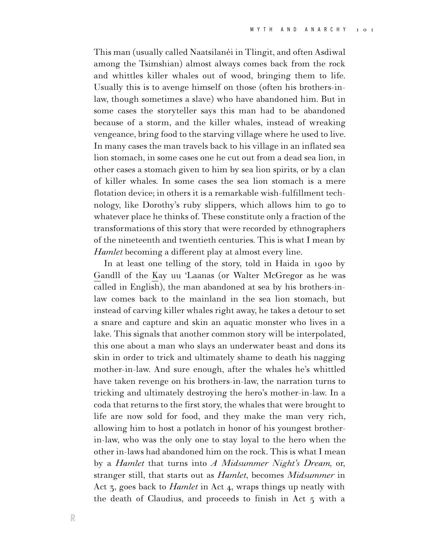This man (usually called Naatsilanéi in Tlingit, and often Asdiwal among the Tsimshian) almost always comes back from the rock and whittles killer whales out of wood, bringing them to life. Usually this is to avenge himself on those (often his brothers-inlaw, though sometimes a slave) who have abandoned him. But in some cases the storyteller says this man had to be abandoned because of a storm, and the killer whales, instead of wreaking vengeance, bring food to the starving village where he used to live. In many cases the man travels back to his village in an inflated sea lion stomach, in some cases one he cut out from a dead sea lion, in other cases a stomach given to him by sea lion spirits, or by a clan of killer whales. In some cases the sea lion stomach is a mere flotation device; in others it is a remarkable wish-fulfillment technology, like Dorothy's ruby slippers, which allows him to go to whatever place he thinks of. These constitute only a fraction of the transformations of this story that were recorded by ethnographers of the nineteenth and twentieth centuries. This is what I mean by *Hamlet* becoming a different play at almost every line.

In at least one telling of the story, told in Haida in 1900 by Gandll of the Kay uu 'Laanas (or Walter McGregor as he was called in English), the man abandoned at sea by his brothers-inlaw comes back to the mainland in the sea lion stomach, but instead of carving killer whales right away, he takes a detour to set a snare and capture and skin an aquatic monster who lives in a lake. This signals that another common story will be interpolated, this one about a man who slays an underwater beast and dons its skin in order to trick and ultimately shame to death his nagging mother-in-law. And sure enough, after the whales he's whittled have taken revenge on his brothers-in-law, the narration turns to tricking and ultimately destroying the hero's mother-in-law. In a coda that returns to the first story, the whales that were brought to life are now sold for food, and they make the man very rich, allowing him to host a potlatch in honor of his youngest brotherin-law, who was the only one to stay loyal to the hero when the other in-laws had abandoned him on the rock. This is what I mean by a *Hamlet* that turns into *A Midsummer Night's Dream,* or, stranger still, that starts out as *Hamlet*, becomes *Midsummer* in Act 3, goes back to *Hamlet* in Act 4, wraps things up neatly with the death of Claudius, and proceeds to finish in Act  $5$  with a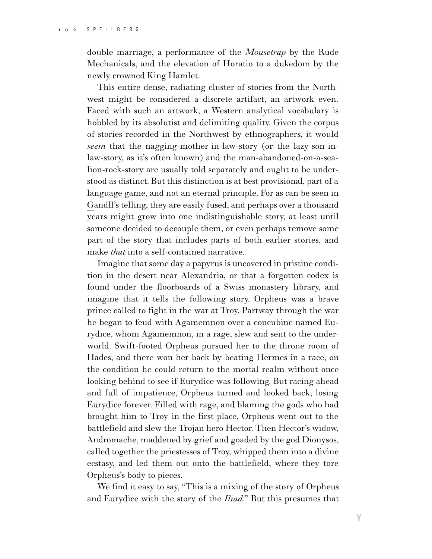double marriage, a performance of the *Mousetrap* by the Rude Mechanicals, and the elevation of Horatio to a dukedom by the newly crowned King Hamlet.

This entire dense, radiating cluster of stories from the Northwest might be considered a discrete artifact, an artwork even. Faced with such an artwork, a Western analytical vocabulary is hobbled by its absolutist and delimiting quality. Given the corpus of stories recorded in the Northwest by ethnographers, it would *seem* that the nagging-mother-in-law-story (or the lazy-son-inlaw-story, as it's often known) and the man-abandoned-on-a-sealion-rock-story are usually told separately and ought to be understood as distinct. But this distinction is at best provisional, part of a language game, and not an eternal principle. For as can be seen in Gandll's telling, they are easily fused, and perhaps over a thousand years might grow into one indistinguishable story, at least until someone decided to decouple them, or even perhaps remove some part of the story that includes parts of both earlier stories, and make *that* into a self-contained narrative.

Imagine that some day a papyrus is uncovered in pristine condition in the desert near Alexandria, or that a forgotten codex is found under the floorboards of a Swiss monastery library, and imagine that it tells the following story. Orpheus was a brave prince called to fight in the war at Troy. Partway through the war he began to feud with Agamemnon over a concubine named Eurydice, whom Agamemnon, in a rage, slew and sent to the underworld. Swift-footed Orpheus pursued her to the throne room of Hades, and there won her back by beating Hermes in a race, on the condition he could return to the mortal realm without once looking behind to see if Eurydice was following. But racing ahead and full of impatience, Orpheus turned and looked back, losing Eurydice forever. Filled with rage, and blaming the gods who had brought him to Troy in the first place, Orpheus went out to the battlefield and slew the Trojan hero Hector. Then Hector's widow, Andromache, maddened by grief and goaded by the god Dionysos, called together the priestesses of Troy, whipped them into a divine ecstasy, and led them out onto the battlefield, where they tore Orpheus's body to pieces.

We find it easy to say, ''This is a mixing of the story of Orpheus and Eurydice with the story of the *Iliad.*'' But this presumes that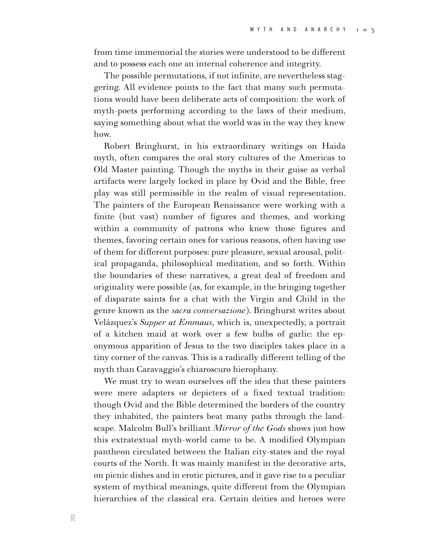from time immemorial the stories were understood to be different and to possess each one an internal coherence and integrity.

The possible permutations, if not infinite, are nevertheless staggering. All evidence points to the fact that many such permutations would have been deliberate acts of composition: the work of myth-poets performing according to the laws of their medium, saying something about what the world was in the way they knew how.

Robert Bringhurst, in his extraordinary writings on Haida myth, often compares the oral story cultures of the Americas to Old Master painting. Though the myths in their guise as verbal artifacts were largely locked in place by Ovid and the Bible, free play was still permissible in the realm of visual representation. The painters of the European Renaissance were working with a finite (but vast) number of figures and themes, and working within a community of patrons who knew those figures and themes, favoring certain ones for various reasons, often having use of them for different purposes: pure pleasure, sexual arousal, political propaganda, philosophical meditation, and so forth. Within the boundaries of these narratives, a great deal of freedom and originality were possible (as, for example, in the bringing together of disparate saints for a chat with the Virgin and Child in the genre known as the *sacra conversazione*). Bringhurst writes about Velázquez's *Supper at Emmaus*, which is, unexpectedly, a portrait of a kitchen maid at work over a few bulbs of garlic: the eponymous apparition of Jesus to the two disciples takes place in a tiny corner of the canvas. This is a radically different telling of the myth than Caravaggio's chiaroscuro hierophany.

We must try to wean ourselves off the idea that these painters were mere adapters or depicters of a fixed textual tradition: though Ovid and the Bible determined the borders of the country they inhabited, the painters beat many paths through the landscape. Malcolm Bull's brilliant *Mirror of the Gods* shows just how this extratextual myth-world came to be. A modified Olympian pantheon circulated between the Italian city-states and the royal courts of the North. It was mainly manifest in the decorative arts, on picnic dishes and in erotic pictures, and it gave rise to a peculiar system of mythical meanings, quite different from the Olympian hierarchies of the classical era. Certain deities and heroes were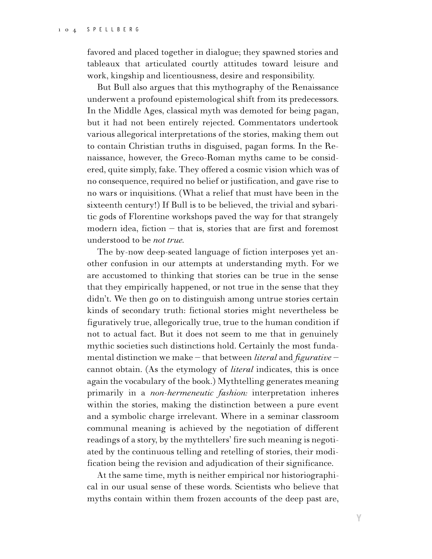favored and placed together in dialogue; they spawned stories and tableaux that articulated courtly attitudes toward leisure and work, kingship and licentiousness, desire and responsibility.

But Bull also argues that this mythography of the Renaissance underwent a profound epistemological shift from its predecessors. In the Middle Ages, classical myth was demoted for being pagan, but it had not been entirely rejected. Commentators undertook various allegorical interpretations of the stories, making them out to contain Christian truths in disguised, pagan forms. In the Renaissance, however, the Greco-Roman myths came to be considered, quite simply, fake. They offered a cosmic vision which was of no consequence, required no belief or justification, and gave rise to no wars or inquisitions. (What a relief that must have been in the sixteenth century!) If Bull is to be believed, the trivial and sybaritic gods of Florentine workshops paved the way for that strangely modern idea, fiction – that is, stories that are first and foremost understood to be *not true.*

The by-now deep-seated language of fiction interposes yet another confusion in our attempts at understanding myth. For we are accustomed to thinking that stories can be true in the sense that they empirically happened, or not true in the sense that they didn't. We then go on to distinguish among untrue stories certain kinds of secondary truth: fictional stories might nevertheless be figuratively true, allegorically true, true to the human condition if not to actual fact. But it does not seem to me that in genuinely mythic societies such distinctions hold. Certainly the most fundamental distinction we make – that between *literal* and *figurative* – cannot obtain. (As the etymology of *literal* indicates, this is once again the vocabulary of the book.) Mythtelling generates meaning primarily in a *non-hermeneutic fashion:* interpretation inheres within the stories, making the distinction between a pure event and a symbolic charge irrelevant. Where in a seminar classroom communal meaning is achieved by the negotiation of different readings of a story, by the mythtellers' fire such meaning is negotiated by the continuous telling and retelling of stories, their modification being the revision and adjudication of their significance.

At the same time, myth is neither empirical nor historiographical in our usual sense of these words. Scientists who believe that myths contain within them frozen accounts of the deep past are,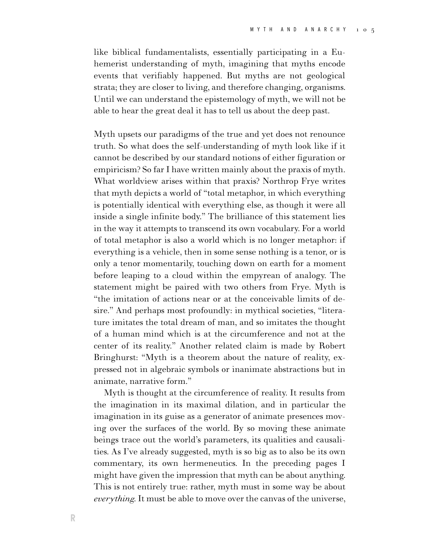like biblical fundamentalists, essentially participating in a Euhemerist understanding of myth, imagining that myths encode events that verifiably happened. But myths are not geological strata; they are closer to living, and therefore changing, organisms. Until we can understand the epistemology of myth, we will not be able to hear the great deal it has to tell us about the deep past.

Myth upsets our paradigms of the true and yet does not renounce truth. So what does the self-understanding of myth look like if it cannot be described by our standard notions of either figuration or empiricism? So far I have written mainly about the praxis of myth. What worldview arises within that praxis? Northrop Frye writes that myth depicts a world of ''total metaphor, in which everything is potentially identical with everything else, as though it were all inside a single infinite body.'' The brilliance of this statement lies in the way it attempts to transcend its own vocabulary. For a world of total metaphor is also a world which is no longer metaphor: if everything is a vehicle, then in some sense nothing is a tenor, or is only a tenor momentarily, touching down on earth for a moment before leaping to a cloud within the empyrean of analogy. The statement might be paired with two others from Frye. Myth is ''the imitation of actions near or at the conceivable limits of desire.'' And perhaps most profoundly: in mythical societies, ''literature imitates the total dream of man, and so imitates the thought of a human mind which is at the circumference and not at the center of its reality.'' Another related claim is made by Robert Bringhurst: "Myth is a theorem about the nature of reality, expressed not in algebraic symbols or inanimate abstractions but in animate, narrative form.''

Myth is thought at the circumference of reality. It results from the imagination in its maximal dilation, and in particular the imagination in its guise as a generator of animate presences moving over the surfaces of the world. By so moving these animate beings trace out the world's parameters, its qualities and causalities. As I've already suggested, myth is so big as to also be its own commentary, its own hermeneutics. In the preceding pages I might have given the impression that myth can be about anything. This is not entirely true: rather, myth must in some way be about *everything.* It must be able to move over the canvas of the universe,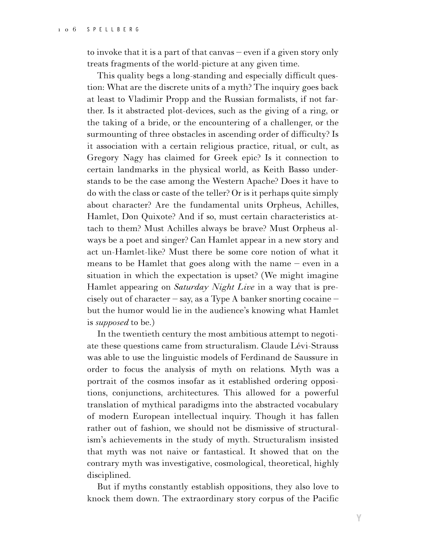to invoke that it is a part of that canvas – even if a given story only treats fragments of the world-picture at any given time.

This quality begs a long-standing and especially difficult question: What are the discrete units of a myth? The inquiry goes back at least to Vladimir Propp and the Russian formalists, if not farther. Is it abstracted plot-devices, such as the giving of a ring, or the taking of a bride, or the encountering of a challenger, or the surmounting of three obstacles in ascending order of difficulty? Is it association with a certain religious practice, ritual, or cult, as Gregory Nagy has claimed for Greek epic? Is it connection to certain landmarks in the physical world, as Keith Basso understands to be the case among the Western Apache? Does it have to do with the class or caste of the teller? Or is it perhaps quite simply about character? Are the fundamental units Orpheus, Achilles, Hamlet, Don Quixote? And if so, must certain characteristics attach to them? Must Achilles always be brave? Must Orpheus always be a poet and singer? Can Hamlet appear in a new story and act un-Hamlet-like? Must there be some core notion of what it means to be Hamlet that goes along with the name – even in a situation in which the expectation is upset? (We might imagine Hamlet appearing on *Saturday Night Live* in a way that is precisely out of character – say, as a Type A banker snorting cocaine – but the humor would lie in the audience's knowing what Hamlet is *supposed* to be.)

In the twentieth century the most ambitious attempt to negotiate these questions came from structuralism. Claude Lévi-Strauss was able to use the linguistic models of Ferdinand de Saussure in order to focus the analysis of myth on relations. Myth was a portrait of the cosmos insofar as it established ordering oppositions, conjunctions, architectures. This allowed for a powerful translation of mythical paradigms into the abstracted vocabulary of modern European intellectual inquiry. Though it has fallen rather out of fashion, we should not be dismissive of structuralism's achievements in the study of myth. Structuralism insisted that myth was not naive or fantastical. It showed that on the contrary myth was investigative, cosmological, theoretical, highly disciplined.

But if myths constantly establish oppositions, they also love to knock them down. The extraordinary story corpus of the Pacific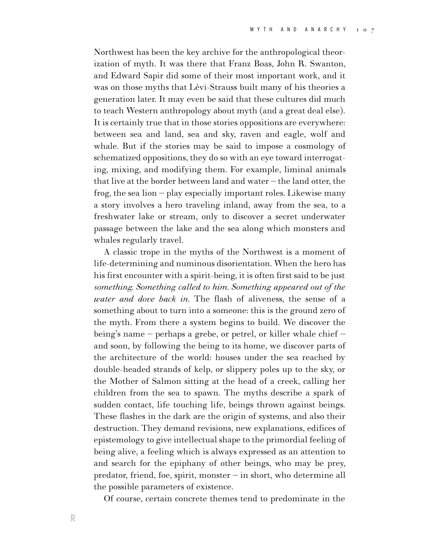Northwest has been the key archive for the anthropological theorization of myth. It was there that Franz Boas, John R. Swanton, and Edward Sapir did some of their most important work, and it was on those myths that Lévi-Strauss built many of his theories a generation later. It may even be said that these cultures did much to teach Western anthropology about myth (and a great deal else). It is certainly true that in those stories oppositions are everywhere: between sea and land, sea and sky, raven and eagle, wolf and whale. But if the stories may be said to impose a cosmology of schematized oppositions, they do so with an eye toward interrogating, mixing, and modifying them. For example, liminal animals that live at the border between land and water – the land otter, the frog, the sea lion – play especially important roles. Likewise many a story involves a hero traveling inland, away from the sea, to a freshwater lake or stream, only to discover a secret underwater passage between the lake and the sea along which monsters and whales regularly travel.

A classic trope in the myths of the Northwest is a moment of life-determining and numinous disorientation. When the hero has his first encounter with a spirit-being, it is often first said to be just *something. Something called to him*. *Something appeared out of the water and dove back in*. The flash of aliveness, the sense of a something about to turn into a someone: this is the ground zero of the myth. From there a system begins to build. We discover the being's name – perhaps a grebe, or petrel, or killer whale chief – and soon, by following the being to its home, we discover parts of the architecture of the world: houses under the sea reached by double-headed strands of kelp, or slippery poles up to the sky, or the Mother of Salmon sitting at the head of a creek, calling her children from the sea to spawn. The myths describe a spark of sudden contact, life touching life, beings thrown against beings. These flashes in the dark are the origin of systems, and also their destruction. They demand revisions, new explanations, edifices of epistemology to give intellectual shape to the primordial feeling of being alive, a feeling which is always expressed as an attention to and search for the epiphany of other beings, who may be prey, predator, friend, foe, spirit, monster – in short, who determine all the possible parameters of existence.

Of course, certain concrete themes tend to predominate in the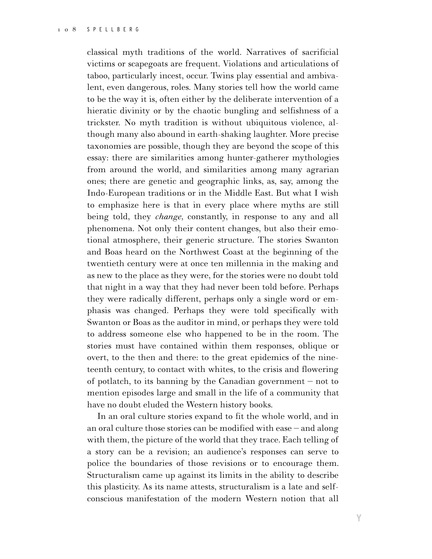classical myth traditions of the world. Narratives of sacrificial victims or scapegoats are frequent. Violations and articulations of taboo, particularly incest, occur. Twins play essential and ambivalent, even dangerous, roles. Many stories tell how the world came to be the way it is, often either by the deliberate intervention of a hieratic divinity or by the chaotic bungling and selfishness of a trickster. No myth tradition is without ubiquitous violence, although many also abound in earth-shaking laughter. More precise taxonomies are possible, though they are beyond the scope of this essay: there are similarities among hunter-gatherer mythologies from around the world, and similarities among many agrarian ones; there are genetic and geographic links, as, say, among the Indo-European traditions or in the Middle East. But what I wish to emphasize here is that in every place where myths are still being told, they *change,* constantly, in response to any and all phenomena. Not only their content changes, but also their emotional atmosphere, their generic structure. The stories Swanton and Boas heard on the Northwest Coast at the beginning of the twentieth century were at once ten millennia in the making and as new to the place as they were, for the stories were no doubt told that night in a way that they had never been told before. Perhaps they were radically different, perhaps only a single word or emphasis was changed. Perhaps they were told specifically with Swanton or Boas as the auditor in mind, or perhaps they were told to address someone else who happened to be in the room. The stories must have contained within them responses, oblique or overt, to the then and there: to the great epidemics of the nineteenth century, to contact with whites, to the crisis and flowering of potlatch, to its banning by the Canadian government – not to mention episodes large and small in the life of a community that have no doubt eluded the Western history books.

In an oral culture stories expand to fit the whole world, and in an oral culture those stories can be modified with ease – and along with them, the picture of the world that they trace. Each telling of a story can be a revision; an audience's responses can serve to police the boundaries of those revisions or to encourage them. Structuralism came up against its limits in the ability to describe this plasticity. As its name attests, structuralism is a late and selfconscious manifestation of the modern Western notion that all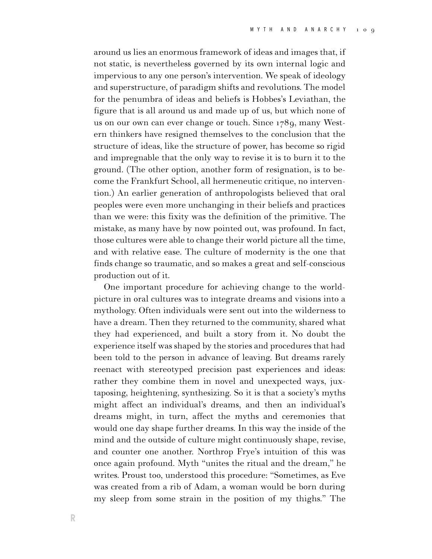around us lies an enormous framework of ideas and images that, if not static, is nevertheless governed by its own internal logic and impervious to any one person's intervention. We speak of ideology and superstructure, of paradigm shifts and revolutions. The model for the penumbra of ideas and beliefs is Hobbes's Leviathan, the figure that is all around us and made up of us, but which none of us on our own can ever change or touch. Since 1789, many Western thinkers have resigned themselves to the conclusion that the structure of ideas, like the structure of power, has become so rigid and impregnable that the only way to revise it is to burn it to the ground. (The other option, another form of resignation, is to become the Frankfurt School, all hermeneutic critique, no intervention.) An earlier generation of anthropologists believed that oral peoples were even more unchanging in their beliefs and practices than we were: this fixity was the definition of the primitive. The mistake, as many have by now pointed out, was profound. In fact, those cultures were able to change their world picture all the time, and with relative ease. The culture of modernity is the one that finds change so traumatic, and so makes a great and self-conscious production out of it.

One important procedure for achieving change to the worldpicture in oral cultures was to integrate dreams and visions into a mythology. Often individuals were sent out into the wilderness to have a dream. Then they returned to the community, shared what they had experienced, and built a story from it. No doubt the experience itself was shaped by the stories and procedures that had been told to the person in advance of leaving. But dreams rarely reenact with stereotyped precision past experiences and ideas: rather they combine them in novel and unexpected ways, juxtaposing, heightening, synthesizing. So it is that a society's myths might affect an individual's dreams, and then an individual's dreams might, in turn, affect the myths and ceremonies that would one day shape further dreams. In this way the inside of the mind and the outside of culture might continuously shape, revise, and counter one another. Northrop Frye's intuition of this was once again profound. Myth ''unites the ritual and the dream,'' he writes. Proust too, understood this procedure: ''Sometimes, as Eve was created from a rib of Adam, a woman would be born during my sleep from some strain in the position of my thighs.'' The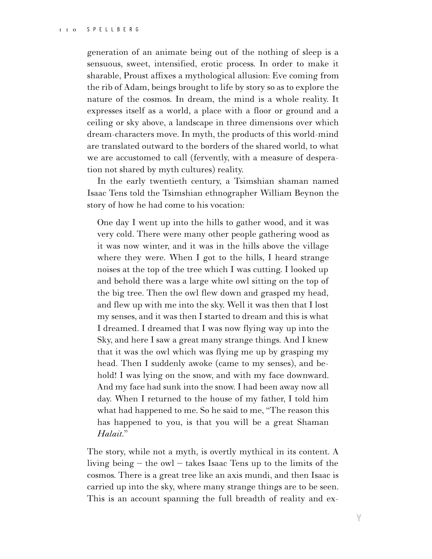generation of an animate being out of the nothing of sleep is a sensuous, sweet, intensified, erotic process. In order to make it sharable, Proust affixes a mythological allusion: Eve coming from the rib of Adam, beings brought to life by story so as to explore the nature of the cosmos. In dream, the mind is a whole reality. It expresses itself as a world, a place with a floor or ground and a ceiling or sky above, a landscape in three dimensions over which dream-characters move. In myth, the products of this world-mind are translated outward to the borders of the shared world, to what we are accustomed to call (fervently, with a measure of desperation not shared by myth cultures) reality.

In the early twentieth century, a Tsimshian shaman named Isaac Tens told the Tsimshian ethnographer William Beynon the story of how he had come to his vocation:

One day I went up into the hills to gather wood, and it was very cold. There were many other people gathering wood as it was now winter, and it was in the hills above the village where they were. When I got to the hills, I heard strange noises at the top of the tree which I was cutting. I looked up and behold there was a large white owl sitting on the top of the big tree. Then the owl flew down and grasped my head, and flew up with me into the sky. Well it was then that I lost my senses, and it was then I started to dream and this is what I dreamed. I dreamed that I was now flying way up into the Sky, and here I saw a great many strange things. And I knew that it was the owl which was flying me up by grasping my head. Then I suddenly awoke (came to my senses), and behold! I was lying on the snow, and with my face downward. And my face had sunk into the snow. I had been away now all day. When I returned to the house of my father, I told him what had happened to me. So he said to me, ''The reason this has happened to you, is that you will be a great Shaman *Halait*.''

The story, while not a myth, is overtly mythical in its content. A living being – the owl – takes Isaac Tens up to the limits of the cosmos. There is a great tree like an axis mundi, and then Isaac is carried up into the sky, where many strange things are to be seen. This is an account spanning the full breadth of reality and ex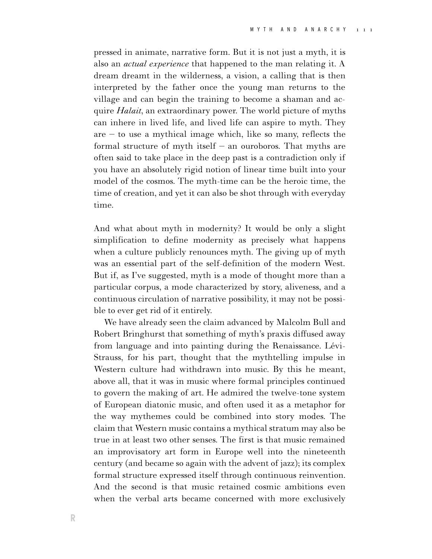pressed in animate, narrative form. But it is not just a myth, it is also an *actual experience* that happened to the man relating it. A dream dreamt in the wilderness, a vision, a calling that is then interpreted by the father once the young man returns to the village and can begin the training to become a shaman and acquire *Halait*, an extraordinary power. The world picture of myths can inhere in lived life, and lived life can aspire to myth. They  $are - to$  use a mythical image which, like so many, reflects the formal structure of myth itself – an ouroboros. That myths are often said to take place in the deep past is a contradiction only if you have an absolutely rigid notion of linear time built into your model of the cosmos. The myth-time can be the heroic time, the time of creation, and yet it can also be shot through with everyday time.

And what about myth in modernity? It would be only a slight simplification to define modernity as precisely what happens when a culture publicly renounces myth. The giving up of myth was an essential part of the self-definition of the modern West. But if, as I've suggested, myth is a mode of thought more than a particular corpus, a mode characterized by story, aliveness, and a continuous circulation of narrative possibility, it may not be possible to ever get rid of it entirely.

We have already seen the claim advanced by Malcolm Bull and Robert Bringhurst that something of myth's praxis diffused away from language and into painting during the Renaissance. Lévi-Strauss, for his part, thought that the mythtelling impulse in Western culture had withdrawn into music. By this he meant, above all, that it was in music where formal principles continued to govern the making of art. He admired the twelve-tone system of European diatonic music, and often used it as a metaphor for the way mythemes could be combined into story modes. The claim that Western music contains a mythical stratum may also be true in at least two other senses. The first is that music remained an improvisatory art form in Europe well into the nineteenth century (and became so again with the advent of jazz); its complex formal structure expressed itself through continuous reinvention. And the second is that music retained cosmic ambitions even when the verbal arts became concerned with more exclusively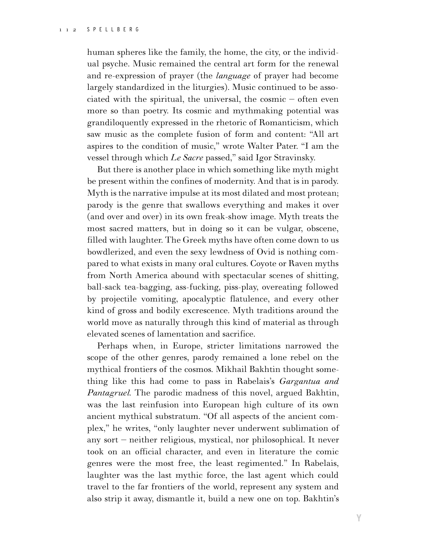human spheres like the family, the home, the city, or the individual psyche. Music remained the central art form for the renewal and re-expression of prayer (the *language* of prayer had become largely standardized in the liturgies). Music continued to be associated with the spiritual, the universal, the cosmic – often even more so than poetry. Its cosmic and mythmaking potential was grandiloquently expressed in the rhetoric of Romanticism, which saw music as the complete fusion of form and content: ''All art aspires to the condition of music,'' wrote Walter Pater. ''I am the vessel through which *Le Sacre* passed,'' said Igor Stravinsky.

But there is another place in which something like myth might be present within the confines of modernity. And that is in parody. Myth is the narrative impulse at its most dilated and most protean; parody is the genre that swallows everything and makes it over (and over and over) in its own freak-show image. Myth treats the most sacred matters, but in doing so it can be vulgar, obscene, filled with laughter. The Greek myths have often come down to us bowdlerized, and even the sexy lewdness of Ovid is nothing compared to what exists in many oral cultures. Coyote or Raven myths from North America abound with spectacular scenes of shitting, ball-sack tea-bagging, ass-fucking, piss-play, overeating followed by projectile vomiting, apocalyptic flatulence, and every other kind of gross and bodily excrescence. Myth traditions around the world move as naturally through this kind of material as through elevated scenes of lamentation and sacrifice.

Perhaps when, in Europe, stricter limitations narrowed the scope of the other genres, parody remained a lone rebel on the mythical frontiers of the cosmos. Mikhail Bakhtin thought something like this had come to pass in Rabelais's *Gargantua and Pantagruel.* The parodic madness of this novel, argued Bakhtin, was the last reinfusion into European high culture of its own ancient mythical substratum. ''Of all aspects of the ancient complex,'' he writes, ''only laughter never underwent sublimation of any sort – neither religious, mystical, nor philosophical. It never took on an official character, and even in literature the comic genres were the most free, the least regimented.'' In Rabelais, laughter was the last mythic force, the last agent which could travel to the far frontiers of the world, represent any system and also strip it away, dismantle it, build a new one on top. Bakhtin's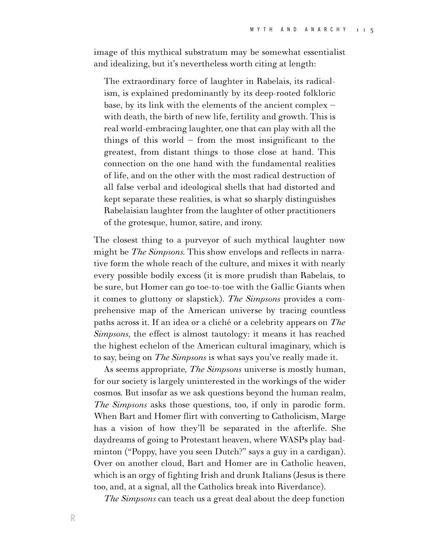image of this mythical substratum may be somewhat essentialist and idealizing, but it's nevertheless worth citing at length:

The extraordinary force of laughter in Rabelais, its radicalism, is explained predominantly by its deep-rooted folkloric base, by its link with the elements of the ancient complex – with death, the birth of new life, fertility and growth. This is real world-embracing laughter, one that can play with all the things of this world  $-$  from the most insignificant to the greatest, from distant things to those close at hand. This connection on the one hand with the fundamental realities of life, and on the other with the most radical destruction of all false verbal and ideological shells that had distorted and kept separate these realities, is what so sharply distinguishes Rabelaisian laughter from the laughter of other practitioners of the grotesque, humor, satire, and irony.

The closest thing to a purveyor of such mythical laughter now might be *The Simpsons.* This show envelops and reflects in narrative form the whole reach of the culture, and mixes it with nearly every possible bodily excess (it is more prudish than Rabelais, to be sure, but Homer can go toe-to-toe with the Gallic Giants when it comes to gluttony or slapstick). *The Simpsons* provides a comprehensive map of the American universe by tracing countless paths across it. If an idea or a cliché or a celebrity appears on *The Simpsons*, the effect is almost tautology: it means it has reached the highest echelon of the American cultural imaginary, which is to say, being on *The Simpsons* is what says you've really made it.

As seems appropriate*, The Simpsons* universe is mostly human, for our society is largely uninterested in the workings of the wider cosmos. But insofar as we ask questions beyond the human realm, *The Simpsons* asks those questions, too, if only in parodic form. When Bart and Homer flirt with converting to Catholicism, Marge has a vision of how they'll be separated in the afterlife. She daydreams of going to Protestant heaven, where WASPs play badminton ("Poppy, have you seen Dutch?" says a guy in a cardigan). Over on another cloud, Bart and Homer are in Catholic heaven, which is an orgy of fighting Irish and drunk Italians (Jesus is there too, and, at a signal, all the Catholics break into Riverdance).

*The Simpsons* can teach us a great deal about the deep function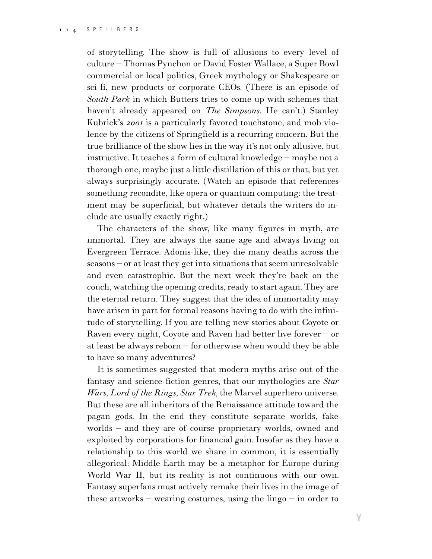of storytelling. The show is full of allusions to every level of culture – Thomas Pynchon or David Foster Wallace, a Super Bowl commercial or local politics, Greek mythology or Shakespeare or sci-fi, new products or corporate CEOs. (There is an episode of *South Park* in which Butters tries to come up with schemes that haven't already appeared on *The Simpsons*. He can't.) Stanley Kubrick's *2001* is a particularly favored touchstone, and mob violence by the citizens of Springfield is a recurring concern. But the true brilliance of the show lies in the way it's not only allusive, but instructive. It teaches a form of cultural knowledge – maybe not a thorough one, maybe just a little distillation of this or that, but yet always surprisingly accurate. (Watch an episode that references something recondite, like opera or quantum computing: the treatment may be superficial, but whatever details the writers do include are usually exactly right.)

The characters of the show, like many figures in myth, are immortal. They are always the same age and always living on Evergreen Terrace. Adonis-like, they die many deaths across the seasons – or at least they get into situations that seem unresolvable and even catastrophic. But the next week they're back on the couch, watching the opening credits, ready to start again. They are the eternal return. They suggest that the idea of immortality may have arisen in part for formal reasons having to do with the infinitude of storytelling. If you are telling new stories about Coyote or Raven every night, Coyote and Raven had better live forever – or at least be always reborn – for otherwise when would they be able to have so many adventures?

It is sometimes suggested that modern myths arise out of the fantasy and science-fiction genres, that our mythologies are *Star Wars, Lord of the Rings, Star Trek,* the Marvel superhero universe. But these are all inheritors of the Renaissance attitude toward the pagan gods. In the end they constitute separate worlds, fake worlds – and they are of course proprietary worlds, owned and exploited by corporations for financial gain. Insofar as they have a relationship to this world we share in common, it is essentially allegorical: Middle Earth may be a metaphor for Europe during World War II, but its reality is not continuous with our own. Fantasy superfans must actively remake their lives in the image of these artworks – wearing costumes, using the lingo – in order to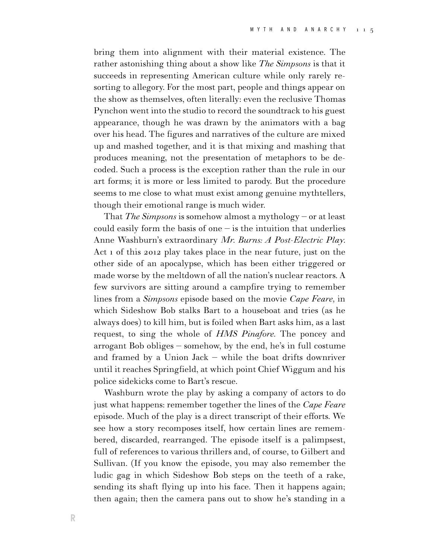bring them into alignment with their material existence. The rather astonishing thing about a show like *The Simpsons* is that it succeeds in representing American culture while only rarely resorting to allegory. For the most part, people and things appear on the show as themselves, often literally: even the reclusive Thomas Pynchon went into the studio to record the soundtrack to his guest appearance, though he was drawn by the animators with a bag over his head. The figures and narratives of the culture are mixed up and mashed together, and it is that mixing and mashing that produces meaning, not the presentation of metaphors to be decoded. Such a process is the exception rather than the rule in our art forms; it is more or less limited to parody. But the procedure seems to me close to what must exist among genuine mythtellers, though their emotional range is much wider.

That *The Simpsons* is somehow almost a mythology – or at least could easily form the basis of one  $-$  is the intuition that underlies Anne Washburn's extraordinary *Mr. Burns: A Post-Electric Play.* Act 1 of this 2012 play takes place in the near future, just on the other side of an apocalypse, which has been either triggered or made worse by the meltdown of all the nation's nuclear reactors. A few survivors are sitting around a campfire trying to remember lines from a *Simpsons* episode based on the movie *Cape Feare,* in which Sideshow Bob stalks Bart to a houseboat and tries (as he always does) to kill him, but is foiled when Bart asks him, as a last request, to sing the whole of *HMS Pinafore.* The poncey and arrogant Bob obliges – somehow, by the end, he's in full costume and framed by a Union Jack – while the boat drifts downriver until it reaches Springfield, at which point Chief Wiggum and his police sidekicks come to Bart's rescue.

Washburn wrote the play by asking a company of actors to do just what happens: remember together the lines of the *Cape Feare* episode. Much of the play is a direct transcript of their efforts. We see how a story recomposes itself, how certain lines are remembered, discarded, rearranged. The episode itself is a palimpsest, full of references to various thrillers and, of course, to Gilbert and Sullivan. (If you know the episode, you may also remember the ludic gag in which Sideshow Bob steps on the teeth of a rake, sending its shaft flying up into his face. Then it happens again; then again; then the camera pans out to show he's standing in a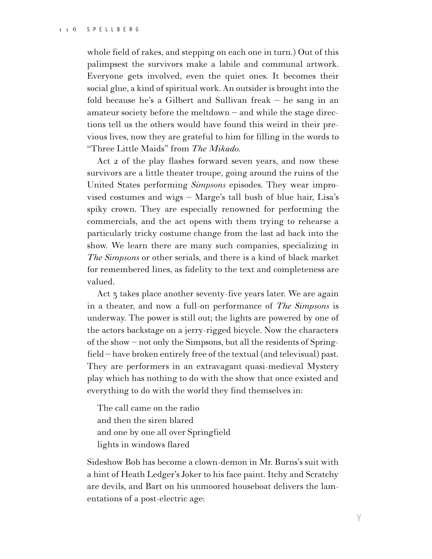whole field of rakes, and stepping on each one in turn.) Out of this palimpsest the survivors make a labile and communal artwork. Everyone gets involved, even the quiet ones. It becomes their social glue, a kind of spiritual work. An outsider is brought into the fold because he's a Gilbert and Sullivan freak – he sang in an amateur society before the meltdown – and while the stage directions tell us the others would have found this weird in their previous lives, now they are grateful to him for filling in the words to ''Three Little Maids'' from *The Mikado.*

Act 2 of the play flashes forward seven years, and now these survivors are a little theater troupe, going around the ruins of the United States performing *Simpsons* episodes. They wear improvised costumes and wigs – Marge's tall bush of blue hair, Lisa's spiky crown. They are especially renowned for performing the commercials, and the act opens with them trying to rehearse a particularly tricky costume change from the last ad back into the show. We learn there are many such companies, specializing in *The Simpsons* or other serials, and there is a kind of black market for remembered lines, as fidelity to the text and completeness are valued.

Act 3 takes place another seventy-five years later. We are again in a theater, and now a full-on performance of *The Simpsons* is underway. The power is still out; the lights are powered by one of the actors backstage on a jerry-rigged bicycle. Now the characters of the show – not only the Simpsons, but all the residents of Springfield – have broken entirely free of the textual (and televisual) past. They are performers in an extravagant quasi-medieval Mystery play which has nothing to do with the show that once existed and everything to do with the world they find themselves in:

The call came on the radio and then the siren blared and one by one all over Springfield lights in windows flared

Sideshow Bob has become a clown-demon in Mr. Burns's suit with a hint of Heath Ledger's Joker to his face paint. Itchy and Scratchy are devils, and Bart on his unmoored houseboat delivers the lamentations of a post-electric age: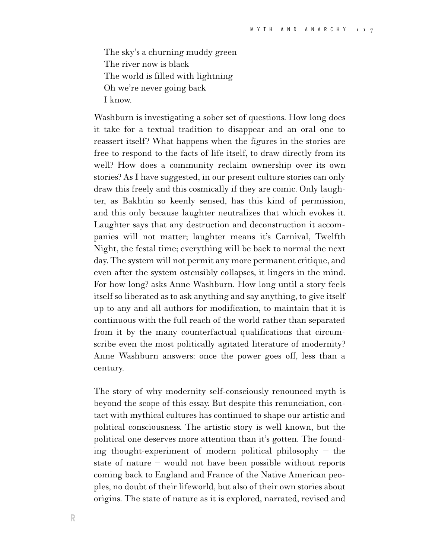The sky's a churning muddy green The river now is black The world is filled with lightning Oh we're never going back I know.

Washburn is investigating a sober set of questions. How long does it take for a textual tradition to disappear and an oral one to reassert itself? What happens when the figures in the stories are free to respond to the facts of life itself, to draw directly from its well? How does a community reclaim ownership over its own stories? As I have suggested, in our present culture stories can only draw this freely and this cosmically if they are comic. Only laughter, as Bakhtin so keenly sensed, has this kind of permission, and this only because laughter neutralizes that which evokes it. Laughter says that any destruction and deconstruction it accompanies will not matter; laughter means it's Carnival, Twelfth Night, the festal time; everything will be back to normal the next day. The system will not permit any more permanent critique, and even after the system ostensibly collapses, it lingers in the mind. For how long? asks Anne Washburn. How long until a story feels itself so liberated as to ask anything and say anything, to give itself up to any and all authors for modification, to maintain that it is continuous with the full reach of the world rather than separated from it by the many counterfactual qualifications that circumscribe even the most politically agitated literature of modernity? Anne Washburn answers: once the power goes off, less than a century.

The story of why modernity self-consciously renounced myth is beyond the scope of this essay. But despite this renunciation, contact with mythical cultures has continued to shape our artistic and political consciousness. The artistic story is well known, but the political one deserves more attention than it's gotten. The founding thought-experiment of modern political philosophy – the state of nature – would not have been possible without reports coming back to England and France of the Native American peoples, no doubt of their lifeworld, but also of their own stories about origins. The state of nature as it is explored, narrated, revised and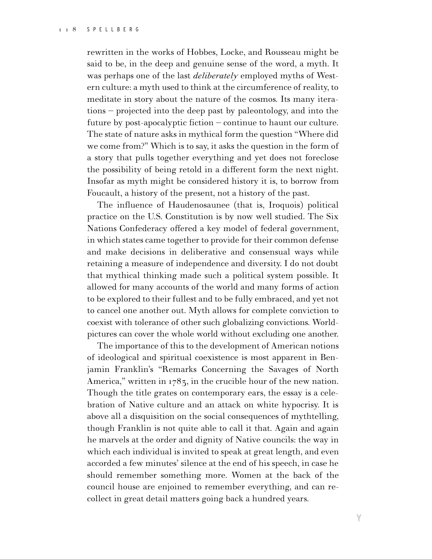rewritten in the works of Hobbes, Locke, and Rousseau might be said to be, in the deep and genuine sense of the word, a myth. It was perhaps one of the last *deliberately* employed myths of Western culture: a myth used to think at the circumference of reality, to meditate in story about the nature of the cosmos. Its many iterations – projected into the deep past by paleontology, and into the future by post-apocalyptic fiction – continue to haunt our culture. The state of nature asks in mythical form the question ''Where did we come from?'' Which is to say, it asks the question in the form of a story that pulls together everything and yet does not foreclose the possibility of being retold in a different form the next night. Insofar as myth might be considered history it is, to borrow from Foucault, a history of the present, not a history of the past.

The influence of Haudenosaunee (that is, Iroquois) political practice on the U.S. Constitution is by now well studied. The Six Nations Confederacy offered a key model of federal government, in which states came together to provide for their common defense and make decisions in deliberative and consensual ways while retaining a measure of independence and diversity. I do not doubt that mythical thinking made such a political system possible. It allowed for many accounts of the world and many forms of action to be explored to their fullest and to be fully embraced, and yet not to cancel one another out. Myth allows for complete conviction to coexist with tolerance of other such globalizing convictions. Worldpictures can cover the whole world without excluding one another.

The importance of this to the development of American notions of ideological and spiritual coexistence is most apparent in Benjamin Franklin's ''Remarks Concerning the Savages of North America," written in  $1783$ , in the crucible hour of the new nation. Though the title grates on contemporary ears, the essay is a celebration of Native culture and an attack on white hypocrisy. It is above all a disquisition on the social consequences of mythtelling, though Franklin is not quite able to call it that. Again and again he marvels at the order and dignity of Native councils: the way in which each individual is invited to speak at great length, and even accorded a few minutes' silence at the end of his speech, in case he should remember something more. Women at the back of the council house are enjoined to remember everything, and can recollect in great detail matters going back a hundred years.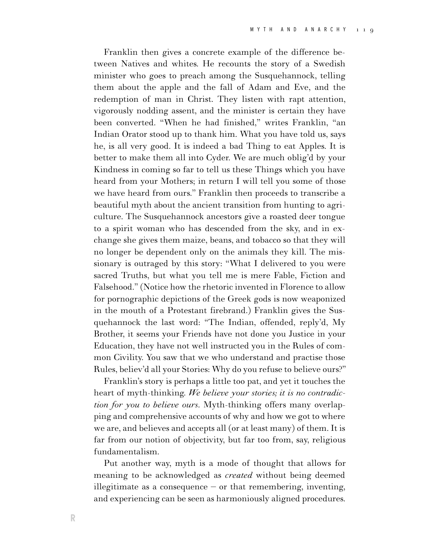Franklin then gives a concrete example of the difference between Natives and whites. He recounts the story of a Swedish minister who goes to preach among the Susquehannock, telling them about the apple and the fall of Adam and Eve, and the redemption of man in Christ. They listen with rapt attention, vigorously nodding assent, and the minister is certain they have been converted. ''When he had finished,'' writes Franklin, ''an Indian Orator stood up to thank him. What you have told us, says he, is all very good. It is indeed a bad Thing to eat Apples. It is better to make them all into Cyder. We are much oblig'd by your Kindness in coming so far to tell us these Things which you have heard from your Mothers; in return I will tell you some of those we have heard from ours.'' Franklin then proceeds to transcribe a beautiful myth about the ancient transition from hunting to agriculture. The Susquehannock ancestors give a roasted deer tongue to a spirit woman who has descended from the sky, and in exchange she gives them maize, beans, and tobacco so that they will no longer be dependent only on the animals they kill. The missionary is outraged by this story: ''What I delivered to you were sacred Truths, but what you tell me is mere Fable, Fiction and Falsehood.'' (Notice how the rhetoric invented in Florence to allow for pornographic depictions of the Greek gods is now weaponized in the mouth of a Protestant firebrand.) Franklin gives the Susquehannock the last word: "The Indian, offended, reply'd, My Brother, it seems your Friends have not done you Justice in your Education, they have not well instructed you in the Rules of common Civility. You saw that we who understand and practise those Rules, believ'd all your Stories: Why do you refuse to believe ours?''

Franklin's story is perhaps a little too pat, and yet it touches the heart of myth-thinking. *We believe your stories; it is no contradiction for you to believe ours.* Myth-thinking offers many overlapping and comprehensive accounts of why and how we got to where we are, and believes and accepts all (or at least many) of them. It is far from our notion of objectivity, but far too from, say, religious fundamentalism.

Put another way, myth is a mode of thought that allows for meaning to be acknowledged as *created* without being deemed illegitimate as a consequence – or that remembering, inventing, and experiencing can be seen as harmoniously aligned procedures.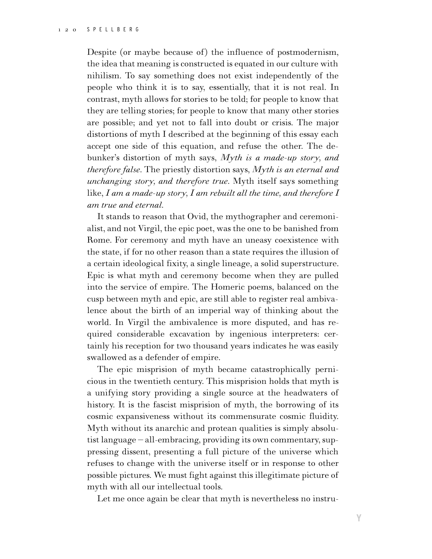Despite (or maybe because of) the influence of postmodernism, the idea that meaning is constructed is equated in our culture with nihilism. To say something does not exist independently of the people who think it is to say, essentially, that it is not real. In contrast, myth allows for stories to be told; for people to know that they are telling stories; for people to know that many other stories are possible; and yet not to fall into doubt or crisis. The major distortions of myth I described at the beginning of this essay each accept one side of this equation, and refuse the other. The debunker's distortion of myth says, *Myth is a made-up story, and therefore false*. The priestly distortion says, *Myth is an eternal and unchanging story, and therefore true*. Myth itself says something like, *I am a made-up story, I am rebuilt all the time, and therefore I am true and eternal*.

It stands to reason that Ovid, the mythographer and ceremonialist, and not Virgil, the epic poet, was the one to be banished from Rome. For ceremony and myth have an uneasy coexistence with the state, if for no other reason than a state requires the illusion of a certain ideological fixity, a single lineage, a solid superstructure. Epic is what myth and ceremony become when they are pulled into the service of empire. The Homeric poems, balanced on the cusp between myth and epic, are still able to register real ambivalence about the birth of an imperial way of thinking about the world. In Virgil the ambivalence is more disputed, and has required considerable excavation by ingenious interpreters: certainly his reception for two thousand years indicates he was easily swallowed as a defender of empire.

The epic misprision of myth became catastrophically pernicious in the twentieth century. This misprision holds that myth is a unifying story providing a single source at the headwaters of history. It is the fascist misprision of myth, the borrowing of its cosmic expansiveness without its commensurate cosmic fluidity. Myth without its anarchic and protean qualities is simply absolutist language – all-embracing, providing its own commentary, suppressing dissent, presenting a full picture of the universe which refuses to change with the universe itself or in response to other possible pictures. We must fight against this illegitimate picture of myth with all our intellectual tools.

Let me once again be clear that myth is nevertheless no instru-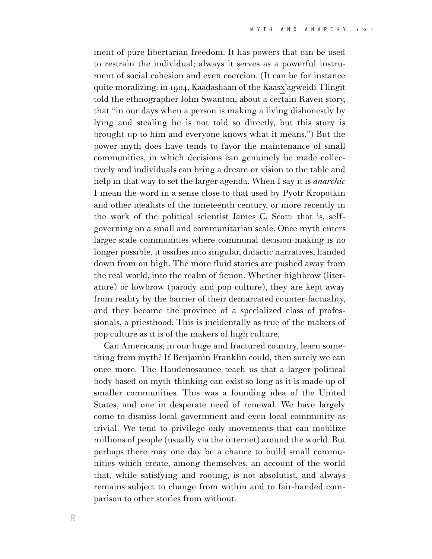ment of pure libertarian freedom. It has powers that can be used to restrain the individual; always it serves as a powerful instrument of social cohesion and even coercion. (It can be for instance quite moralizing: in 1904, Kaadashaan of the Kaasx'agweidí Tlingit told the ethnographer John Swanton, about a certain Raven story, that ''in our days when a person is making a living dishonestly by lying and stealing he is not told so directly, but this story is brought up to him and everyone knows what it means.'') But the power myth does have tends to favor the maintenance of small communities, in which decisions can genuinely be made collectively and individuals can bring a dream or vision to the table and help in that way to set the larger agenda. When I say it is *anarchic* I mean the word in a sense close to that used by Pyotr Kropotkin and other idealists of the nineteenth century, or more recently in the work of the political scientist James C. Scott: that is, selfgoverning on a small and communitarian scale. Once myth enters larger-scale communities where communal decision-making is no longer possible, it ossifies into singular, didactic narratives, handed down from on high. The more fluid stories are pushed away from the real world, into the realm of fiction. Whether highbrow (literature) or lowbrow (parody and pop culture), they are kept away from reality by the barrier of their demarcated counter-factuality, and they become the province of a specialized class of professionals, a priesthood. This is incidentally as true of the makers of pop culture as it is of the makers of high culture.

Can Americans, in our huge and fractured country, learn something from myth? If Benjamin Franklin could, then surely we can once more. The Haudenosaunee teach us that a larger political body based on myth-thinking can exist so long as it is made up of smaller communities. This was a founding idea of the United States, and one in desperate need of renewal. We have largely come to dismiss local government and even local community as trivial. We tend to privilege only movements that can mobilize millions of people (usually via the internet) around the world. But perhaps there may one day be a chance to build small communities which create, among themselves, an account of the world that, while satisfying and rooting, is not absolutist, and always remains subject to change from within and to fair-handed comparison to other stories from without.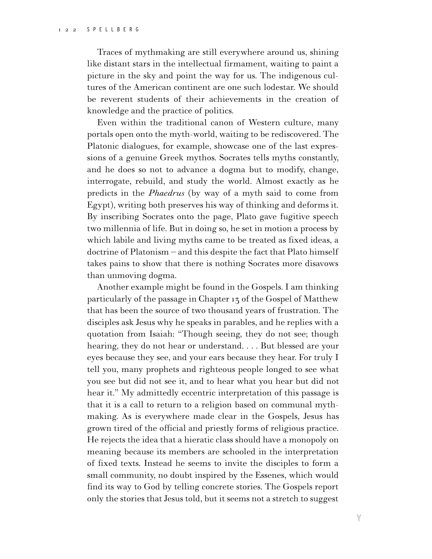Traces of mythmaking are still everywhere around us, shining like distant stars in the intellectual firmament, waiting to paint a picture in the sky and point the way for us. The indigenous cultures of the American continent are one such lodestar. We should be reverent students of their achievements in the creation of knowledge and the practice of politics.

Even within the traditional canon of Western culture, many portals open onto the myth-world, waiting to be rediscovered. The Platonic dialogues, for example, showcase one of the last expressions of a genuine Greek mythos. Socrates tells myths constantly, and he does so not to advance a dogma but to modify, change, interrogate, rebuild, and study the world. Almost exactly as he predicts in the *Phaedrus* (by way of a myth said to come from Egypt), writing both preserves his way of thinking and deforms it. By inscribing Socrates onto the page, Plato gave fugitive speech two millennia of life. But in doing so, he set in motion a process by which labile and living myths came to be treated as fixed ideas, a doctrine of Platonism – and this despite the fact that Plato himself takes pains to show that there is nothing Socrates more disavows than unmoving dogma.

Another example might be found in the Gospels. I am thinking particularly of the passage in Chapter 13 of the Gospel of Matthew that has been the source of two thousand years of frustration. The disciples ask Jesus why he speaks in parables, and he replies with a quotation from Isaiah: ''Though seeing, they do not see; though hearing, they do not hear or understand. . . . But blessed are your eyes because they see, and your ears because they hear. For truly I tell you, many prophets and righteous people longed to see what you see but did not see it, and to hear what you hear but did not hear it." My admittedly eccentric interpretation of this passage is that it is a call to return to a religion based on communal mythmaking. As is everywhere made clear in the Gospels, Jesus has grown tired of the official and priestly forms of religious practice. He rejects the idea that a hieratic class should have a monopoly on meaning because its members are schooled in the interpretation of fixed texts. Instead he seems to invite the disciples to form a small community, no doubt inspired by the Essenes, which would find its way to God by telling concrete stories. The Gospels report only the stories that Jesus told, but it seems not a stretch to suggest